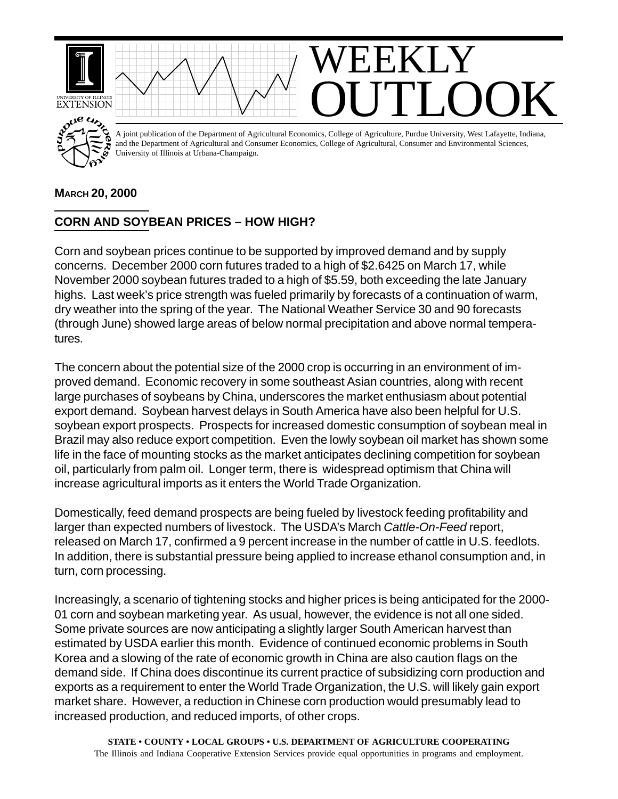

## **MARCH 20, 2000**

## **CORN AND SOYBEAN PRICES – HOW HIGH?**

Corn and soybean prices continue to be supported by improved demand and by supply concerns. December 2000 corn futures traded to a high of \$2.6425 on March 17, while November 2000 soybean futures traded to a high of \$5.59, both exceeding the late January highs. Last week's price strength was fueled primarily by forecasts of a continuation of warm, dry weather into the spring of the year. The National Weather Service 30 and 90 forecasts (through June) showed large areas of below normal precipitation and above normal temperatures.

The concern about the potential size of the 2000 crop is occurring in an environment of improved demand. Economic recovery in some southeast Asian countries, along with recent large purchases of soybeans by China, underscores the market enthusiasm about potential export demand. Soybean harvest delays in South America have also been helpful for U.S. soybean export prospects. Prospects for increased domestic consumption of soybean meal in Brazil may also reduce export competition. Even the lowly soybean oil market has shown some life in the face of mounting stocks as the market anticipates declining competition for soybean oil, particularly from palm oil. Longer term, there is widespread optimism that China will increase agricultural imports as it enters the World Trade Organization.

Domestically, feed demand prospects are being fueled by livestock feeding profitability and larger than expected numbers of livestock. The USDA's March *Cattle-On-Feed* report, released on March 17, confirmed a 9 percent increase in the number of cattle in U.S. feedlots. In addition, there is substantial pressure being applied to increase ethanol consumption and, in turn, corn processing.

Increasingly, a scenario of tightening stocks and higher prices is being anticipated for the 2000- 01 corn and soybean marketing year. As usual, however, the evidence is not all one sided. Some private sources are now anticipating a slightly larger South American harvest than estimated by USDA earlier this month. Evidence of continued economic problems in South Korea and a slowing of the rate of economic growth in China are also caution flags on the demand side. If China does discontinue its current practice of subsidizing corn production and exports as a requirement to enter the World Trade Organization, the U.S. will likely gain export market share. However, a reduction in Chinese corn production would presumably lead to increased production, and reduced imports, of other crops.